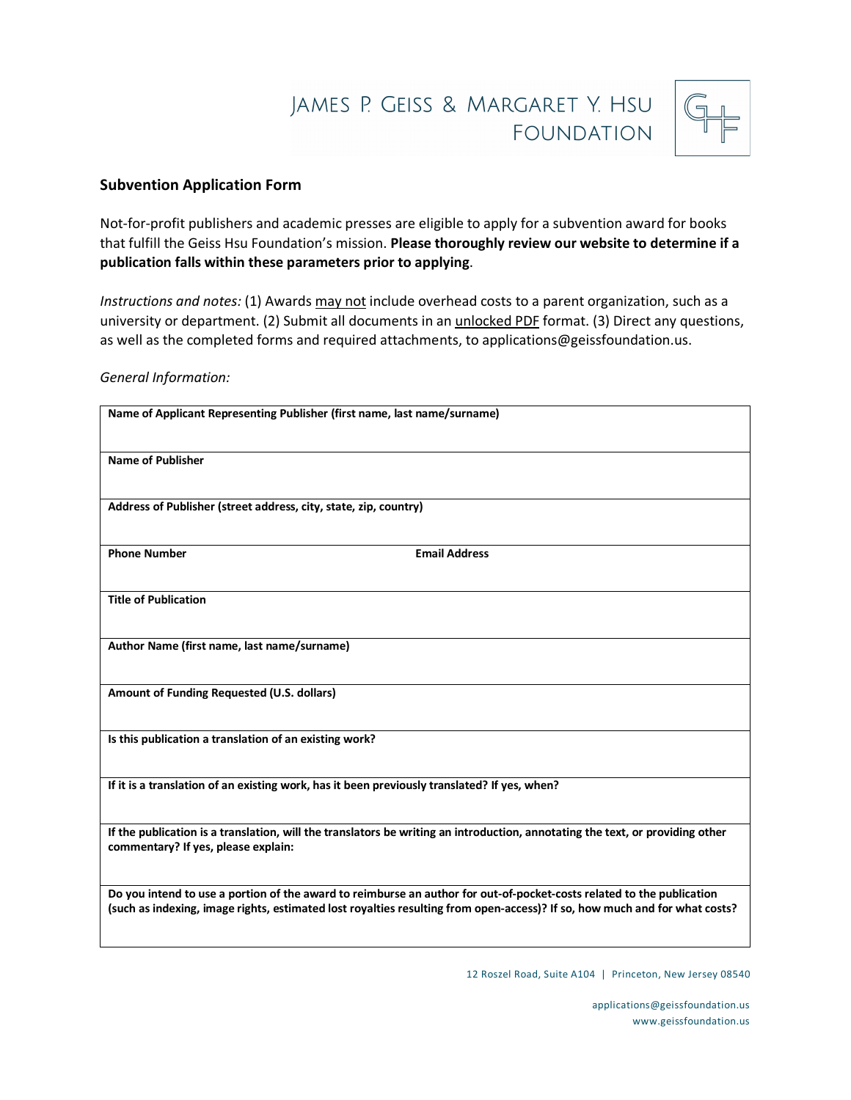# JAMES P. GEISS & MARGARET Y. HSU **FOUNDATION**



#### **Subvention Application Form**

Not-for-profit publishers and academic presses are eligible to apply for a subvention award for books that fulfill the Geiss Hsu Foundation's mission. **Please thoroughly review our website to determine if a publication falls within these parameters prior to applying**.

*Instructions and notes:* (1) Awards may not include overhead costs to a parent organization, such as a university or department. (2) Submit all documents in an *unlocked PDF* format. (3) Direct any questions, as well as the completed forms and required attachments, to applications@geissfoundation.us.

#### *General Information:*

| Name of Applicant Representing Publisher (first name, last name/surname)                                                                                                                                                                            |
|-----------------------------------------------------------------------------------------------------------------------------------------------------------------------------------------------------------------------------------------------------|
| <b>Name of Publisher</b>                                                                                                                                                                                                                            |
| Address of Publisher (street address, city, state, zip, country)                                                                                                                                                                                    |
| <b>Phone Number</b><br><b>Email Address</b>                                                                                                                                                                                                         |
| <b>Title of Publication</b>                                                                                                                                                                                                                         |
| Author Name (first name, last name/surname)                                                                                                                                                                                                         |
| Amount of Funding Requested (U.S. dollars)                                                                                                                                                                                                          |
| Is this publication a translation of an existing work?                                                                                                                                                                                              |
| If it is a translation of an existing work, has it been previously translated? If yes, when?                                                                                                                                                        |
| If the publication is a translation, will the translators be writing an introduction, annotating the text, or providing other<br>commentary? If yes, please explain:                                                                                |
| Do you intend to use a portion of the award to reimburse an author for out-of-pocket-costs related to the publication<br>(such as indexing, image rights, estimated lost royalties resulting from open-access)? If so, how much and for what costs? |

12 Roszel Road, Suite A104 | Princeton, New Jersey 08540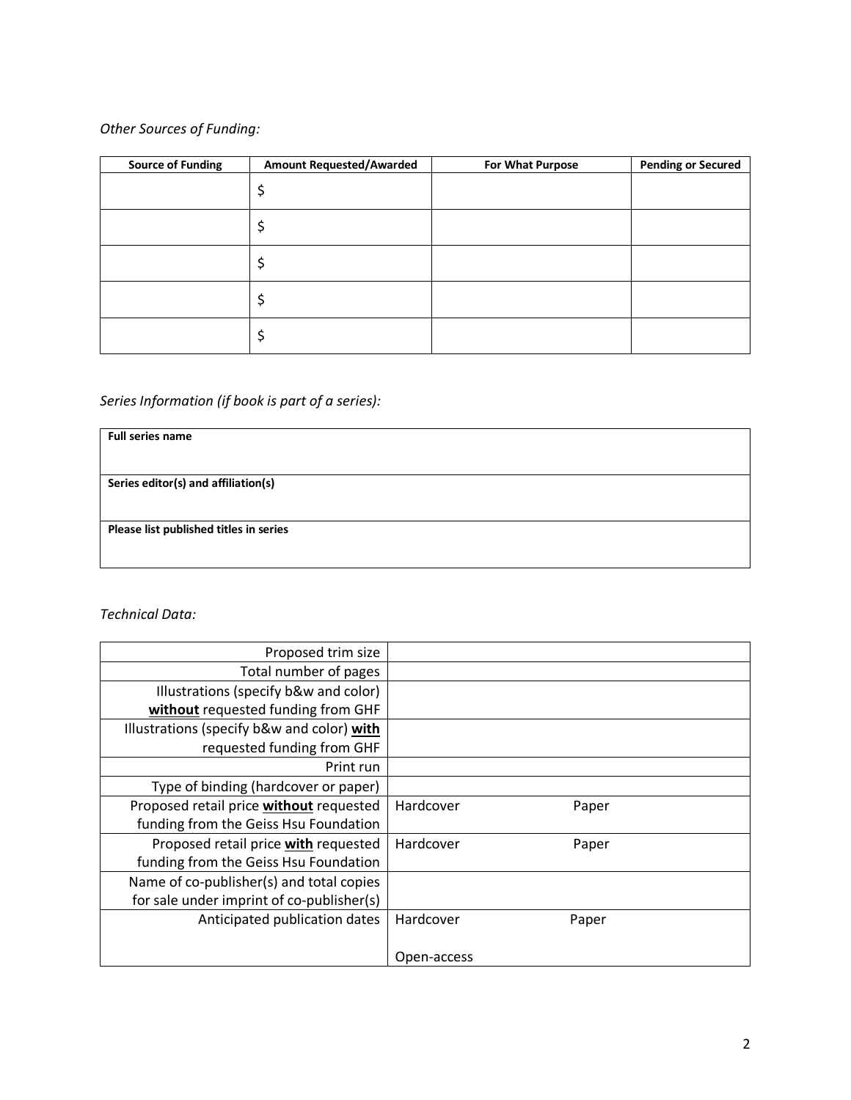# *Other Sources of Funding:*

| <b>Source of Funding</b> | <b>Amount Requested/Awarded</b> | For What Purpose | <b>Pending or Secured</b> |
|--------------------------|---------------------------------|------------------|---------------------------|
|                          |                                 |                  |                           |
|                          | ÷                               |                  |                           |
|                          | ÷                               |                  |                           |
|                          |                                 |                  |                           |
|                          |                                 |                  |                           |

# *Series Information (if book is part of a series):*

| <b>Full series name</b>                |  |  |
|----------------------------------------|--|--|
|                                        |  |  |
| Series editor(s) and affiliation(s)    |  |  |
|                                        |  |  |
| Please list published titles in series |  |  |
|                                        |  |  |

## *Technical Data:*

| Proposed trim size                         |             |       |  |
|--------------------------------------------|-------------|-------|--|
| Total number of pages                      |             |       |  |
| Illustrations (specify b&w and color)      |             |       |  |
| without requested funding from GHF         |             |       |  |
| Illustrations (specify b&w and color) with |             |       |  |
| requested funding from GHF                 |             |       |  |
| Print run                                  |             |       |  |
| Type of binding (hardcover or paper)       |             |       |  |
| Proposed retail price without requested    | Hardcover   | Paper |  |
| funding from the Geiss Hsu Foundation      |             |       |  |
| Proposed retail price with requested       | Hardcover   | Paper |  |
| funding from the Geiss Hsu Foundation      |             |       |  |
| Name of co-publisher(s) and total copies   |             |       |  |
| for sale under imprint of co-publisher(s)  |             |       |  |
| Anticipated publication dates              | Hardcover   | Paper |  |
|                                            |             |       |  |
|                                            | Open-access |       |  |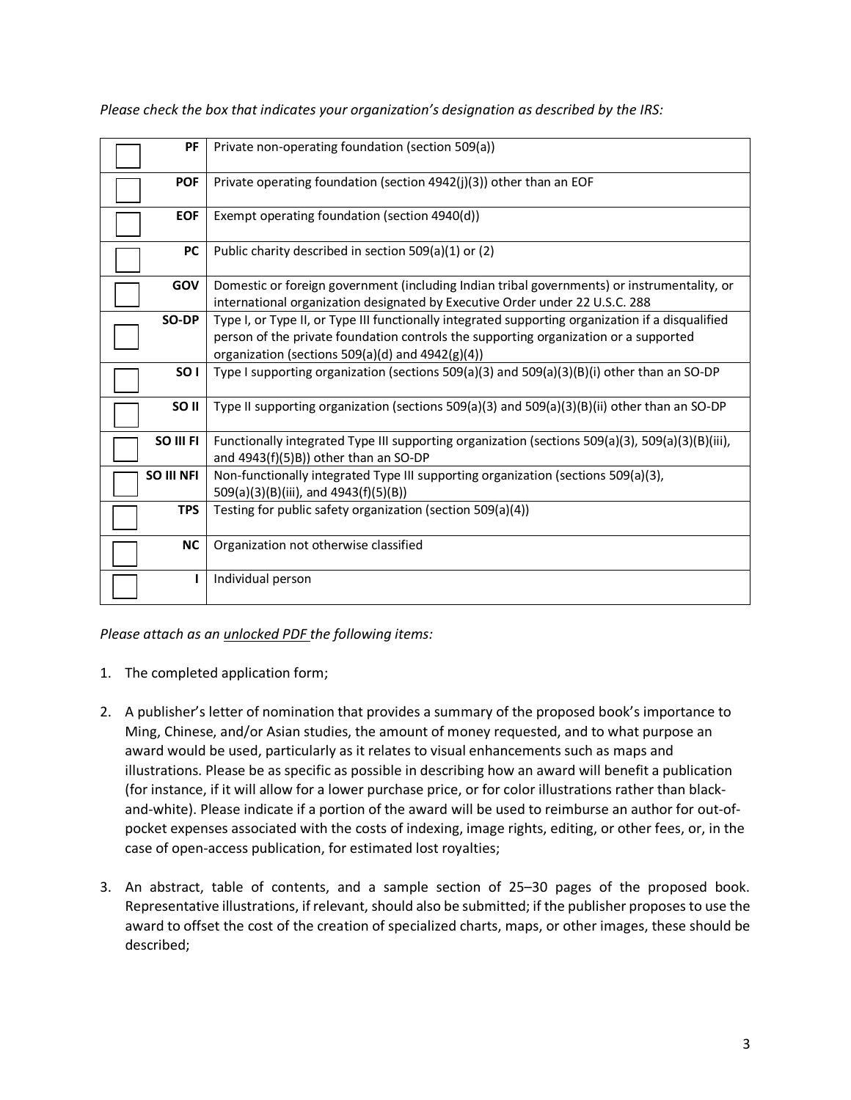| <b>PF</b>        | Private non-operating foundation (section 509(a))                                                                                                                                                                                                  |
|------------------|----------------------------------------------------------------------------------------------------------------------------------------------------------------------------------------------------------------------------------------------------|
| <b>POF</b>       | Private operating foundation (section 4942(j)(3)) other than an EOF                                                                                                                                                                                |
| <b>EOF</b>       | Exempt operating foundation (section 4940(d))                                                                                                                                                                                                      |
| <b>PC</b>        | Public charity described in section 509(a)(1) or (2)                                                                                                                                                                                               |
| GOV              | Domestic or foreign government (including Indian tribal governments) or instrumentality, or<br>international organization designated by Executive Order under 22 U.S.C. 288                                                                        |
| SO-DP            | Type I, or Type II, or Type III functionally integrated supporting organization if a disqualified<br>person of the private foundation controls the supporting organization or a supported<br>organization (sections $509(a)(d)$ and $4942(g)(4)$ ) |
| SO <sub>1</sub>  | Type I supporting organization (sections $509(a)(3)$ and $509(a)(3)(B)(i)$ other than an SO-DP                                                                                                                                                     |
| SO <sub>II</sub> | Type II supporting organization (sections 509(a)(3) and 509(a)(3)(B)(ii) other than an SO-DP                                                                                                                                                       |
| SO III FI        | Functionally integrated Type III supporting organization (sections $509(a)(3)$ , $509(a)(3)(B)(iii)$ ,<br>and 4943(f)(5)B)) other than an SO-DP                                                                                                    |
| SO III NFI       | Non-functionally integrated Type III supporting organization (sections 509(a)(3),<br>509(a)(3)(B)(iii), and 4943(f)(5)(B))                                                                                                                         |
| <b>TPS</b>       | Testing for public safety organization (section 509(a)(4))                                                                                                                                                                                         |
| <b>NC</b>        | Organization not otherwise classified                                                                                                                                                                                                              |
|                  | Individual person                                                                                                                                                                                                                                  |

*Please check the box that indicates your organization's designation as described by the IRS:* 

### *Please attach as an unlocked PDF the following items:*

- 1. The completed application form;
- 2. A publisher's letter of nomination that provides a summary of the proposed book's importance to Ming, Chinese, and/or Asian studies, the amount of money requested, and to what purpose an award would be used, particularly as it relates to visual enhancements such as maps and illustrations. Please be as specific as possible in describing how an award will benefit a publication (for instance, if it will allow for a lower purchase price, or for color illustrations rather than blackand-white). Please indicate if a portion of the award will be used to reimburse an author for out-ofpocket expenses associated with the costs of indexing, image rights, editing, or other fees, or, in the case of open-access publication, for estimated lost royalties;
- 3. An abstract, table of contents, and a sample section of 25–30 pages of the proposed book. Representative illustrations, if relevant, should also be submitted; if the publisher proposes to use the award to offset the cost of the creation of specialized charts, maps, or other images, these should be described;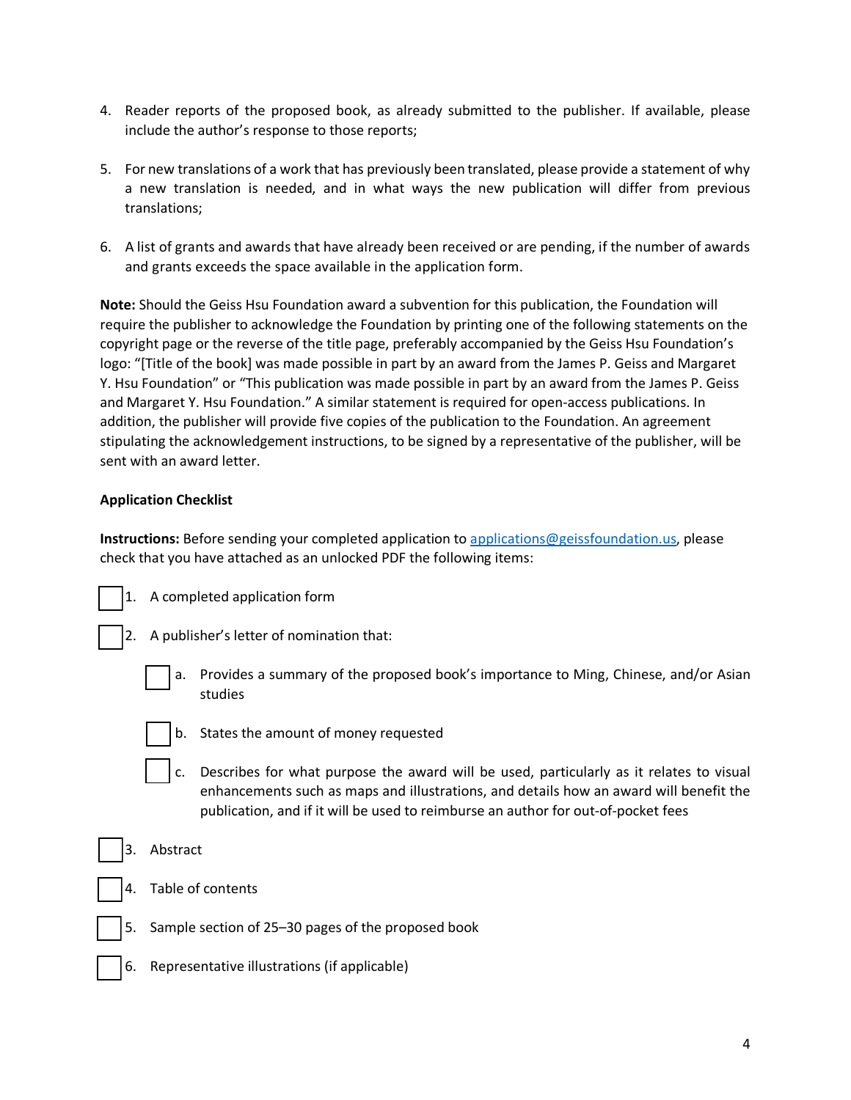- 4. Reader reports of the proposed book, as already submitted to the publisher. If available, please include the author's response to those reports;
- 5. For new translations of a work that has previously been translated, please provide a statement of why a new translation is needed, and in what ways the new publication will differ from previous translations;
- 6. A list of grants and awards that have already been received or are pending, if the number of awards and grants exceeds the space available in the application form.

**Note:** Should the Geiss Hsu Foundation award a subvention for this publication, the Foundation will require the publisher to acknowledge the Foundation by printing one of the following statements on the copyright page or the reverse of the title page, preferably accompanied by the Geiss Hsu Foundation's logo: "[Title of the book] was made possible in part by an award from the James P. Geiss and Margaret Y. Hsu Foundation" or "This publication was made possible in part by an award from the James P. Geiss and Margaret Y. Hsu Foundation." A similar statement is required for open-access publications. In addition, the publisher will provide five copies of the publication to the Foundation. An agreement stipulating the acknowledgement instructions, to be signed by a representative of the publisher, will be sent with an award letter.

#### **Application Checklist**

**Instructions:** Before sending your completed application to applications@geissfoundation.us, please check that you have attached as an unlocked PDF the following items:

- 1. A completed application form
- 2. A publisher's letter of nomination that:
	- a. Provides a summary of the proposed book's importance to Ming, Chinese, and/or Asian studies
	- - b. States the amount of money requested
		- c. Describes for what purpose the award will be used, particularly as it relates to visual enhancements such as maps and illustrations, and details how an award will benefit the publication, and if it will be used to reimburse an author for out-of-pocket fees
- 3. Abstract
- Table of contents
- Sample section of 25-30 pages of the proposed book
- 6. Representative illustrations (if applicable)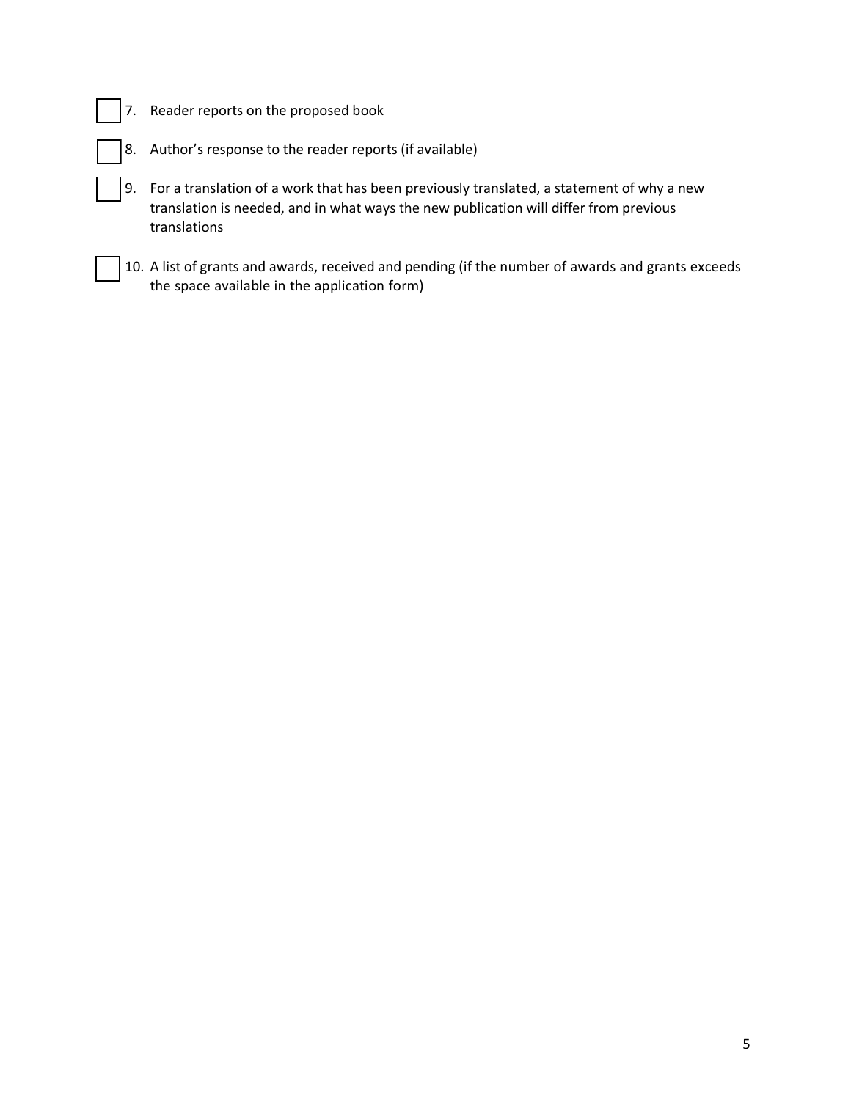- 7. Reader reports on the proposed book
	- 8. Author's response to the reader reports (if available)
	- $\vert$  9. For a translation of a work that has been previously translated, a statement of why a new translation is needed, and in what ways the new publication will differ from previous translations
- 10. A list of grants and awards, received and pending (if the number of awards and grants exceeds the space available in the application form)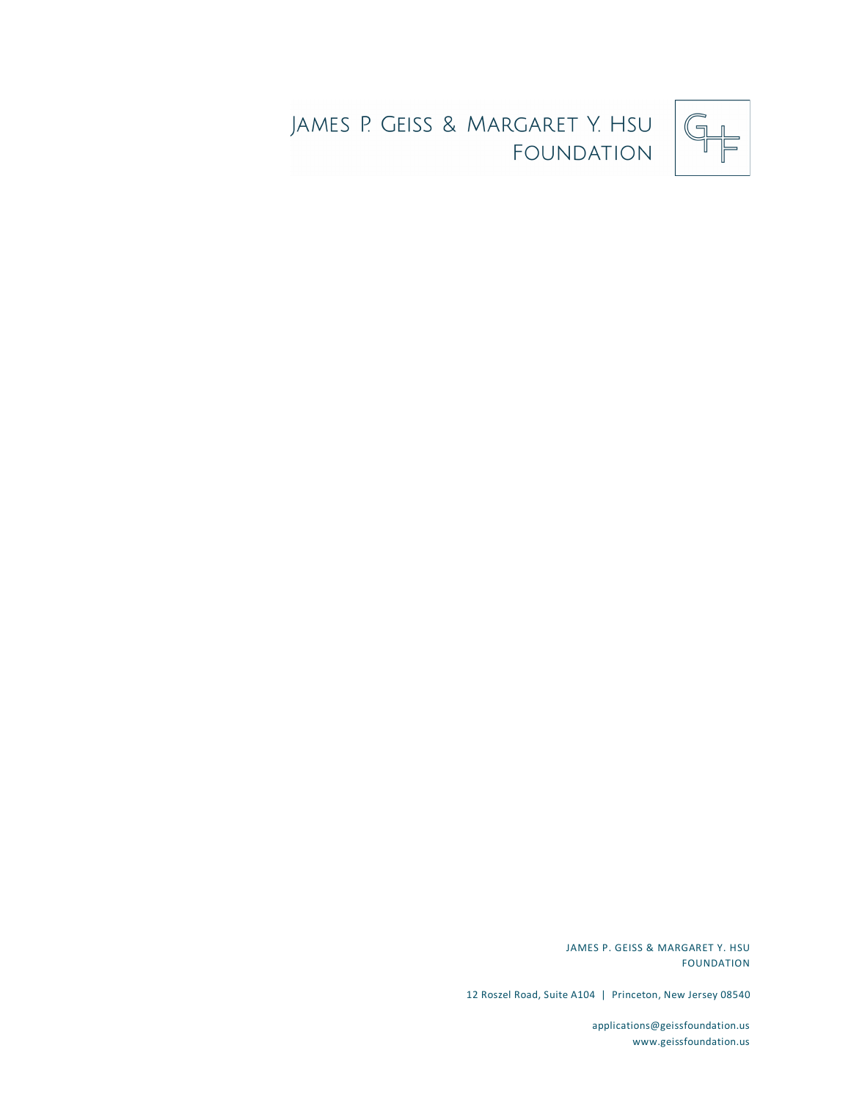



JAMES P. GEISS & MARGARET Y. HSU FOUNDATION

12 Roszel Road, Suite A104 | Princeton, New Jersey 08540

applications@geissfoundation.us www.geissfoundation.us